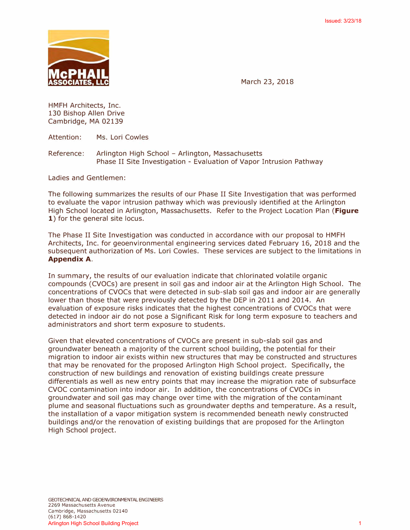

March 23, 2018

HMFH Architects, Inc. 130 Bishop Allen Drive Cambridge, MA 02139

Attention: Ms. Lori Cowles

Reference: Arlington High School - Arlington, Massachusetts Phase II Site Investigation - Evaluation of Vapor Intrusion Pathway

Ladies and Gentlemen:

The following summarizes the results of our Phase II Site Investigation that was performed to evaluate the vapor intrusion pathway which was previously identified at the Arlington High School located in Arlington, Massachusetts. Refer to the Project Location Plan **(Figure**  1) for the general site locus.

The Phase II Site Investigation was conducted in accordance with our proposal to HMFH Architects, Inc. for geoenvironmental engineering services dated February 16, 2018 and the subsequent authorization of Ms. Lori Cowles. These services are subject to the limitations in **Appendix A.** 

In summary, the results of our evaluation indicate that chlorinated volatile organic compounds (CVOCs) are present in soil gas and indoor air at the Arlington High School. The concentrations of CVOCs that were detected in sub-slab soil gas and indoor air are generally lower than those that were previously detected by the DEP in 2011 and 2014. An evaluation of exposure risks indicates that the highest concentrations of CVOCs that were detected in indoor air do not pose a Significant Risk for long term exposure to teachers and administrators and short term exposure to students.

Given that elevated concentrations of CVOCs are present in sub-slab soil gas and groundwater beneath a majority of the current school building, the potential for their migration to indoor air exists within new structures that may be constructed and structures that may be renovated for the proposed Arlington High School project. Specifically, the construction of new buildings and renovation of existing buildings create pressure differentials as well as new entry points that may increase the migration rate of subsurface CVOC contamination into indoor air. In addition, the concentrations of CVOCs in groundwater and soil gas may change over time with the migration of the contaminant plume and seasonal fluctuations such as groundwater depths and temperature. As a result, the installation of a vapor mitigation system is recommended beneath newly constructed buildings and/or the renovation of existing buildings that are proposed for the Arlington High School project.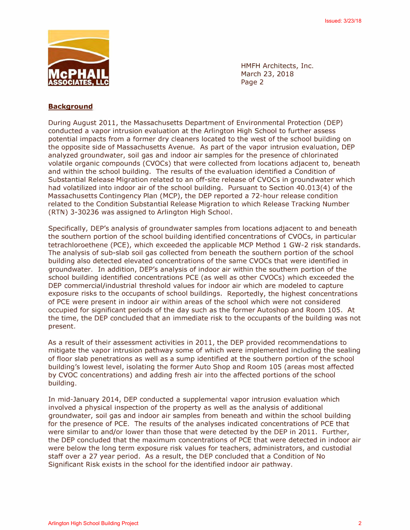

HMFH Architects, Inc. March 23, 2018 Page 2

# **Background**

During August 2011, the Massachusetts Department of Environmental Protection (DEP) conducted a vapor intrusion evaluation at the Arlington High School to further assess potential impacts from a former dry cleaners located to the west of the school building on the opposite side of Massachusetts Avenue. As part of the vapor intrusion evaluation, DEP analyzed groundwater, soil gas and indoor air samples for the presence of chlorinated volatile organic compounds (CVOCs) that were collected from locations adjacent to, beneath and within the school building. The results of the evaluation identified a Condition of Substantial Release Migration related to an off-site release of CVOCs in groundwater which had volatilized into indoor air of the school building. Pursuant to Section 40.013(4) of the Massachusetts Contingency Plan (MCP), the DEP reported a 72-hour release condition related to the Condition Substantial Release Migration to which Release Tracking Number (RTN) 3-30236 was assigned to Arlington High School.

Specifically, DEP's analysis of groundwater samples from locations adjacent to and beneath the southern portion of the school building identified concentrations of CVOCs, in particular tetrachloroethene (PCE), which exceeded the applicable MCP Method 1 GW-2 risk standards. The analysis of sub-slab soil gas collected from beneath the southern portion of the school building also detected elevated concentrations of the same CVOCs that were identified in groundwater. In addition, DEP's analysis of indoor air within the southern portion of the school building identified concentrations PCE (as well as other CVOCs) which exceeded the DEP commercial/industrial threshold values for indoor air which are modeled to capture exposure risks to the occupants of school buildings. Reportedly, the highest concentrations of PCE were present in indoor air within areas of the school which were not considered occupied for significant periods of the day such as the former Autoshop and Room 105. At the time, the DEP concluded that an immediate risk to the occupants of the building was not present.

As a result of their assessment activities in 2011, the DEP provided recommendations to mitigate the vapor intrusion pathway some of which were implemented including the sealing of floor slab penetrations as well as a sump identified at the southern portion of the school building's lowest level, isolating the former Auto Shop and Room 105 (areas most affected by CVOC concentrations) and adding fresh air into the affected portions of the school building.

In mid-January 2014, DEP conducted a supplemental vapor intrusion evaluation which involved a physical inspection of the property as well as the analysis of additional groundwater, soil gas and indoor air samples from beneath and within the school building for the presence of PCE. The results of the analyses indicated concentrations of PCE that were similar to and/or lower than those that were detected by the DEP in 2011. Further, the DEP concluded that the maximum concentrations of PCE that were detected in indoor air were below the long term exposure risk values for teachers, administrators, and custodial staff over a 27 year period. As a result, the DEP concluded that a Condition of No Significant Risk exists in the school for the identified indoor air pathway.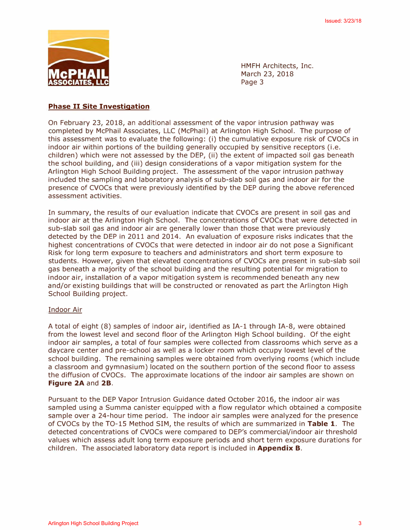

HMFH Architects, Inc. March 23, 2018 Page 3

# **Phase II Site Investigation**

On February 23, 2018, an additional assessment of the vapor intrusion pathway was completed by McPhail Associates, LLC (McPhail) at Arlington High School. The purpose of this assessment was to evaluate the following: (i) the cumulative exposure risk of CVOCs in indoor air within portions of the building generally occupied by sensitive receptors (i.e. children) which were not assessed by the DEP, (ii) the extent of impacted soil gas beneath the school building, and (iii) design considerations of a vapor mitigation system for the Arlington High School Building project. The assessment of the vapor intrusion pathway included the sampling and laboratory analysis of sub-slab soil gas and indoor air for the presence of CVOCs that were previously identified by the DEP during the above referenced assessment activities.

In summary, the results of our evaluation indicate that CVOCs are present in soil gas and indoor air at the Arlington High School. The concentrations of CVOCs that were detected in sub-slab soil gas and indoor air are generally lower than those that were previously detected by the DEP in 2011 and 2014. An evaluation of exposure risks indicates that the highest concentrations of CVOCs that were detected in indoor air do not pose a Significant Risk for long term exposure to teachers and administrators and short term exposure to students. However, given that elevated concentrations of CVOCs are present in sub-slab soil gas beneath a majority of the school building and the resulting potential for migration to indoor air, installation of a vapor mitigation system is recommended beneath any new and/or existing buildings that will be constructed or renovated as part the Arlington High School Building project.

### Indoor Air

A total of eight (8) samples of indoor air, identified as IA-1 through IA-8, were obtained from the lowest level and second floor of the Arlington High School building. Of the eight indoor air samples, a total of four samples were collected from classrooms which serve as a daycare center and pre-school as well as a locker room which occupy lowest level of the school building. The remaining samples were obtained from overlying rooms (which include a classroom and gymnasium) located on the southern portion of the second floor to assess the diffusion of CVOCs. The approximate locations of the indoor air samples are shown on **Figure 2A** and **2B.** 

Pursuant to the DEP Vapor Intrusion Guidance dated October 2016, the indoor air was sampled using a Summa canister equipped with a flow regulator which obtained a composite sample over a 24-hour time period. The indoor air samples were analyzed for the presence of CVOCs by the TO-15 Method SIM, the results of which are summarized in **Table 1.** The detected concentrations of CVOCs were compared to DEP's commercial/indoor air threshold values which assess adult long term exposure periods and short term exposure durations for children. The associated laboratory data report is included in **Appendix B.**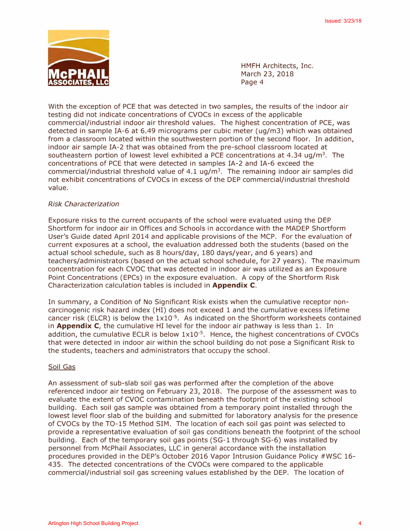

HMFH Architects, Inc. March 23, 2018 Page 4

With the exception of PCE that was detected in two samples, the results of the indoor air testing did not indicate concentrations of CVOCs in excess of the applicable commercial/industrial indoor air threshold values. The highest concentration of PCE, was detected in sample IA-6 at 6.49 micrograms per cubic meter (ug/m3) which was obtained from a classroom located within the southwestern portion of the second floor. In addition, indoor air sample IA-2 that was obtained from the pre-school classroom located at southeastern portion of lowest level exhibited a PCE concentrations at 4.34 ug/m<sup>3</sup>. The concentrations of PCE that were detected in samples IA-2 and IA-6 exceed the commercial/industrial threshold value of  $4.1 \text{ ug/m}^3$ . The remaining indoor air samples did not exhibit concentrations of CVOCs in excess of the DEP commercial/industrial threshold value.

### *Risk Characterization*

Exposure risks to the current occupants of the school were evaluated using the DEP Shortform for indoor air in Offices and Schools in accordance with the MADEP Shortform User's Guide dated April 2014 and applicable provisions of the MCP. For the evaluation of current exposures at a school, the evaluation addressed both the students (based on the actual school schedule, such as 8 hours/day, 180 days/year, and 6 years) and teachers/administrators (based on the actual school schedule, for 27 years). The maximum concentration for each CVOC that was detected in indoor air was utilized as an Exposure Point Concentrations (EPCs) in the exposure evaluation. A copy of the Shortform Risk Characterization calculation tables is included in **Appendix C.** 

In summary, a Condition of No Significant Risk exists when the cumulative receptor noncarcinogenic risk hazard index (HI) does not exceed 1 and the cumulative excess lifetime cancer risk (ELCR) is below the  $1x10^{-5}$ . As indicated on the Shortform worksheets contained in **Appendix C,** the cumulative HI level for the indoor air pathway is less than l. In addition, the cumulative ECLR is below  $1x10^{-5}$ . Hence, the highest concentrations of CVOCs that were detected in indoor air within the school building do not pose a Significant Risk to the students, teachers and administrators that occupy the school.

#### Soil Gas

An assessment of sub-slab soil gas was performed after the completion of the above referenced indoor air testing on February 23, 2018. The purpose of the assessment was to evaluate the extent of CVOC contamination beneath the footprint of the existing school building. Each soil gas sample was obtained from a temporary point installed through the lowest level floor slab of the building and submitted for laboratory analysis for the presence of CVOCs by the TO-15 Method SIM. The location of each soil gas point was selected to provide a representative evaluation of soil gas conditions beneath the footprint of the school building. Each of the temporary soil gas points (SG-1 through SG-6) was installed by personnel from McPhail Associates, LLC in general accordance with the installation procedures provided in the DEP's October 2016 Vapor Intrusion Guidance Policy #WSC 16- 435. The detected concentrations of the CVOCs were compared to the applicable commercial/industrial soil gas screening values established by the DEP. The location of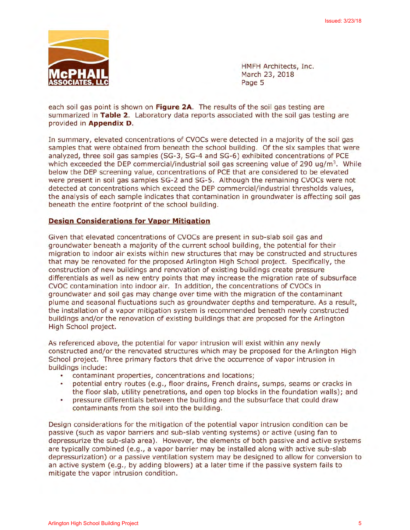

HMFH Architects, Inc. March 23, 2018 Page 5

each soil gas point is shown on Figure 2A. The results of the soil gas testing are summarized in Table 2. Laboratory data reports associated with the soil gas testing are provided in Appendix D.

In summary, elevated concentrations of CVOCs were detected in a majority of the soil gas samples that were obtained from beneath the school building. Of the six samples that were analyzed, three soil gas samples (SG-3, SG-4 and SG-6) exhibited concentrations of PCE which exceeded the DEP commercial/industrial soil gas screening value of 290  $\mu q/m^3$ . While below the DEP screening value, concentrations of PCE that are considered to be elevated were present in soil gas samples SG-2 and SG-5. Although the remaining CVOCs were not detected at concentrations which exceed the DEP commercial/industrial thresholds values, the analysis of each sample indicates that contamination in groundwater is affecting soil gas beneath the entire footprint of the school building.

## **Design Considerations for Vapor Mitigation**

Given that elevated concentrations of CVOCs are present in sub-slab soil gas and groundwater beneath a majority of the current school building, the potential for their migration to indoor air exists within new structures that may be constructed and structures that may be renovated for the proposed Arlington High School project. Specifically, the construction of new buildings and renovation of existing buildings create pressure differentials as well as new entry points that may increase the migration rate of subsurface CVOC contamination into indoor air. In addition, the concentrations of CVOCs in groundwater and soil gas may change over time with the migration of the contaminant plume and seasonal fluctuations such as groundwater depths and temperature. As a result, the installation of a vapor mitigation system is recommended beneath newly constructed buildings and/or the renovation of existing buildings that are proposed for the Arlington High School project.

As referenced above, the potential for vapor intrusion will exist within any newly constructed and/or the renovated structures which may be proposed for the Arlington High School project. Three primary factors that drive the occurrence of vapor intrusion in buildings include:

- contaminant properties, concentrations and locations;
- ò. potential entry routes (e.g., floor drains, French drains, sumps, seams or cracks in the floor slab, utility penetrations, and open top blocks in the foundation walls); and
- pressure differentials between the building and the subsurface that could draw  $\bullet$ contaminants from the soil into the building.

Design considerations for the mitigation of the potential vapor intrusion condition can be passive (such as vapor barriers and sub-slab venting systems) or active (using fan to depressurize the sub-slab area). However, the elements of both passive and active systems are typically combined (e.g., a vapor barrier may be installed along with active sub-slab depressurization) or a passive ventilation system may be designed to allow for conversion to an active system (e.g., by adding blowers) at a later time if the passive system fails to mitigate the vapor intrusion condition.